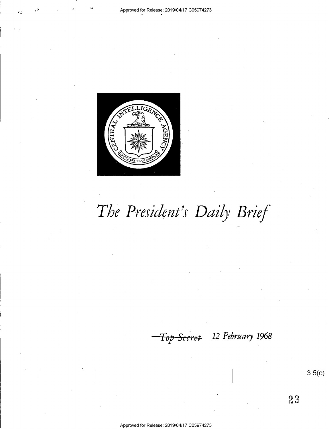

# The President's Daily Brief

12 February 1968 <del>Top Secret</del>

 $3.5(c)$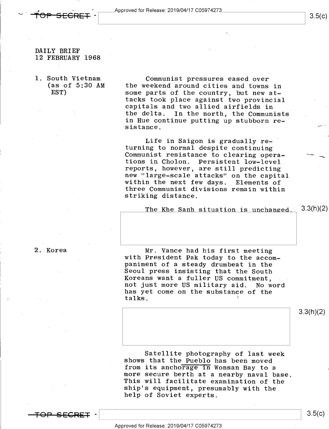

### DAILY BRIEF 12 FEBRUARY 1968

Ξ,

i '

1. South Vietnam (as of 5:30 AM EST)

Communist pressures eased over<br>the weekend around cities and towns in some parts of the country, but new at-<br>tacks took place against two provincial capitals and two allied airfields in<br>the delta. In the north, the Commun In the north, the Communists in Hue continue putting up stubborn resistance.

Life in Saigon is gradually re-<br>turning to normal despite continuing Communist resistance to clearing operations in Cholon. Persistent low-level<br>reports, however, are still predicting new "large-scale attacks" on the capital within the next few days. Elements of<br>three Communist divisions remain within<br>striking distance.

The Khe Sanh situation is unchanged.

2. Korea

Mr. Vance had his first meeting<br>with President Pak today to the accom-<br>paniment of a steady drumbeat in the<br>Seoul press insisting that the South<br>Koreans want a fuller US commitment,<br>not just more US military aid. No word has yet come on the substance of the talks.

3.3(h)(2)

 $3.5(c)$ 

\\_..\_\_ "\

3.3(h)(2)

Satellite photography of last week<br>shows that the Pueblo has been moved<br>from its anchorage in Wonsan Bay to a more secure berth at a nearby naval base.<br>This will facilitate examination of the<br>ship's equipment, presumably with the<br>help of Soviet experts.

<del>SECRET</del> ·

3-5(°)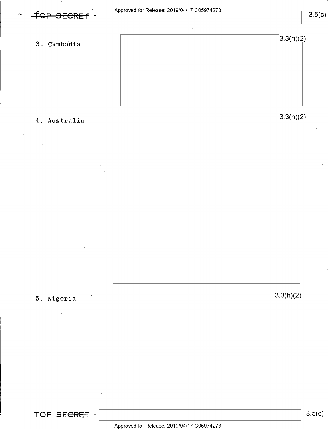

 $3.5(c)$ 



 $\bar{z}$ 

4. Australia  $3.3(h)(2)$ 





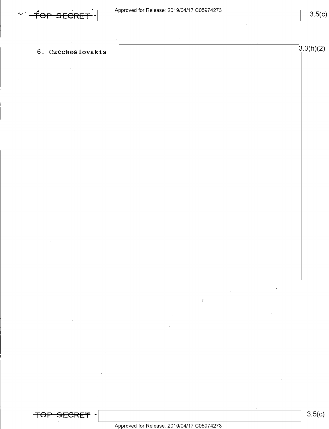- 6. Czechoslovakia  $\begin{array}{|c|c|c|c|c|}\n\hline\n & 3.3(h)(2) & & & \\
\hline\n\end{array}$ 
	-

<del>TOP SECRET</del> -

r

 $\frac{1}{2}$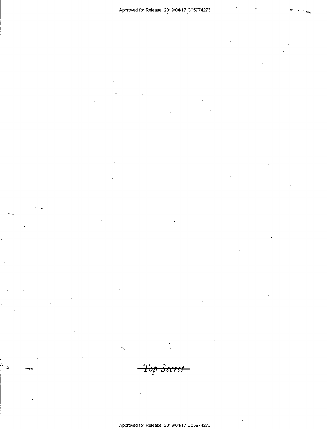<del>Top Secret</del>

 $\mathord{\hspace{1pt}\text{--}\hspace{1pt}}$ 

γ.

 $\cdots$  .

' 35-' .-,,,,\_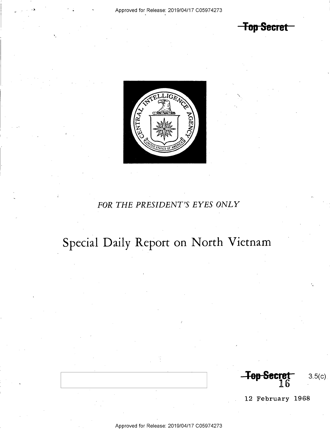—'Fop-Secret-



### FOR THE PRESIDENT'S EYES ONLY

## Special Daily Report on North Vietnam

<del>-Top Secret</del>  $3.5(c)$ .

. 12 February 1968

Approved for Release: 2019/O4/17 CO5974273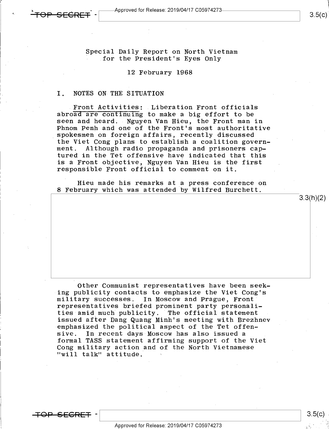s.5(¢)

3.3(h)(2)

Special Daily Report on North Vietnam for the President's Eyes Only

### 12 February 1968

### I. NOTES ON THE SITUATION

Front Activities: Liberation Front officials<br>abroad are continuing to make a big effort to be seen and heard. Nguyen Van Hieu, the Front man in Phnom Penh and one of the Front's most authoritative spokesmen on foreign affairs, recently discussed the Viet Cong plans to establish a coalition govern-Although radio propaganda and prisoners captured in the Tet offensive have indicated that this<br>is a Front objective, Nguyen Van Hieu is the first responsible Front official to comment on it.

Hieu made his remarks at\_a press conference on 8 February which was attended by Wilfred Burchett.

Other Communist representatives have been seeking publicity contacts to emphasize the Viet Cong's military successes. In Moscow and Prague, Front' representatives briefed prominent party personalities amid much publicity. 'The official statement issued after Dang Quang Minh's meeting with Brezhnev emphasized the political aspect of the Tet offensive. In recent days Moscow has also issued a formal TASS statement affirming support of the Viet Cong military action and of the North Vietnamese "will talk" attitude.

8-5(¢)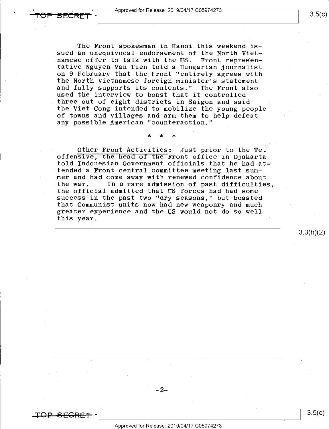$\begin{array}{|c|c|c|}\n\hline \text{TOP-SEGRE}\text{+} & \text{-}\end{array}$ 

The Front spokesman in Hanoi this weekend issued an unequivocal endorsement of the North Viet-<br>namese offer to talk with the US. Front represennamese offer to talk with the US. tative Nguyen Van Tien told a Hungarian journalist on 9 February that the Front "entirely agrees with the North Vietnamese foreign minister's statement and fully supports its contents." The Front also used the interview to boast that it controlled three out of eight districts in Saigon and said the Viet Cong intended to mobilize the young people of towns and villages and arm them to help defeat any possible American "counteraction."

\* \* \*

Other Front Activities: Just prior to the Tet offensive, the head of fhe Front office in Djakarta told Indonesian Government officials that he had attended a Front central committee meeting last summer and had come away with renewed confidence about<br>the war. In a rare admission of past difficultie In a rare admission of past difficulties, the official admitted that US forces had had some success in the past two "dry seasons," but boasted<br>that Communist units now had new weaponry and much greater experience and the US would not do so well this year.

-2-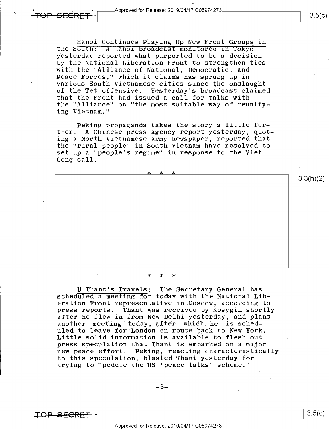$\mathbf{v}$ 

Hanoi Continues Playing Up New Front Groups in the South: A Hanoi broadcast monitored in Tokyo vesterday reported what purported to be a decision by the National Liberation Front to strengthen ties with the "Alliance of National, Democratic, and Peace Forces," which it claims has sprung up in various South Vietnamese cities since the onslaught of the Tet offensive. Yesterday's broadcast claimed that the Front had issued a call for talks with the "Alliance" on "the most suitable way of reunifying Vietnam."

Peking propaganda takes the story a little fur-<br>ther. A Chinese press agency report yesterday, quote A Chinese press agency report yesterday, quoting a North Vietnamese army newspaper, reported that the "rural people" in South Vietnam have resolved to set up a "people's regime" in response to the Viet Cong call.

|                  | <b>State Street</b><br>$\sim 0.01$ | * * *            |                |           |
|------------------|------------------------------------|------------------|----------------|-----------|
|                  |                                    |                  |                | 3.3(h)(2) |
|                  |                                    |                  |                |           |
|                  |                                    |                  |                |           |
|                  |                                    |                  |                |           |
|                  |                                    |                  |                |           |
|                  |                                    |                  |                |           |
|                  |                                    |                  |                |           |
|                  |                                    |                  |                |           |
|                  |                                    |                  |                |           |
|                  |                                    |                  |                |           |
|                  |                                    |                  |                |           |
| $\sim$<br>$\sim$ | $\ast$                             | $\ast$<br>$\ast$ | $\sim 10^{-1}$ |           |
|                  |                                    |                  |                |           |

<sup>U</sup>Thant's Travels: The Secretary General has scheduled a meeting for today with the National Liberation Front representative in Moscow, according to press reports. Thant\_was received by Kosygin shortly after he flew in from New Delhi yesterday, and plans another meeting today, after which he is scheduled to leave for London en route back to New York. Little solid information is available to flesh out press speculation that Thant is embarked on a major new peace effort. Peking, reacting characteristically to this speculation, blasted Thant yesterday for ' trying to "peddle the US 'peace talks' scheme."

 $-3-$ 

 $\begin{bmatrix} \textbf{1} & \textbf{0} & \textbf{0} & \textbf{0} & \textbf{0} & \textbf{0} & \textbf{0} & \textbf{0} & \textbf{0} & \textbf{0} & \textbf{0} & \textbf{0} & \textbf{0} & \textbf{0} & \textbf{0} & \textbf{0} & \textbf{0} & \textbf{0} & \textbf{0} & \textbf{0} & \textbf{0} & \textbf{0} & \textbf{0} & \textbf{0} & \textbf{0} & \textbf{0} & \textbf{0} & \textbf{0} & \textbf{0} & \textbf{0} & \textbf{$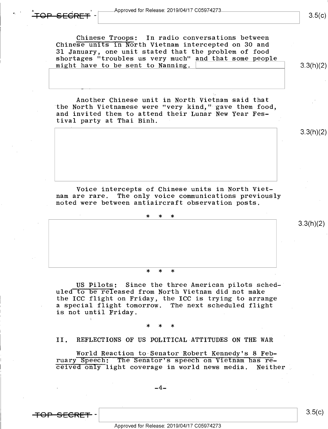Chinese Troops: In radio conversations between Chinese units in North Vietnam intercepted on 30 and<br>31 January, one unit stated that the problem of food shortages "troubles us very much" and that some people might have to be sent to Nanning.  $\begin{array}{|l|} \hline \text{might have to be sent to Nanning.} \\\hline \end{array}$ 

Another Chinese unit in North Vietnam said that the North Vietnamese were "very kind," gave them food, and invited them to attend their Lunar New Year Festival party at Thai Binh.

Voice intercepts of Chinese units in North Viet-<br>nam are rare. The only voice communications previously noted were between antiaircraft observation posts.

' \* \* \*

US Pilots: Since the three American pilots scheduled to be released from North Vietnam did not make the ICC flight on Friday, the ICC is trying to arrange a special flight tomorrow. The next scheduled flight is not until Friday.

 $\star$   $\star$   $\star$ 

 $\star$   $\star$   $\star$ 

II. REFLECTIONS OF US POLITICAL ATTITUDES ON THE WAR

World Reaction to Senator Robert Kennedy's 8 February Speech: The Senator's speech on Vietnam has re ceived only light coverage in world news media.

 $-4-$ 

<del>TOP SECRE</del>

3.3(h)(2)

3.3(h)(2)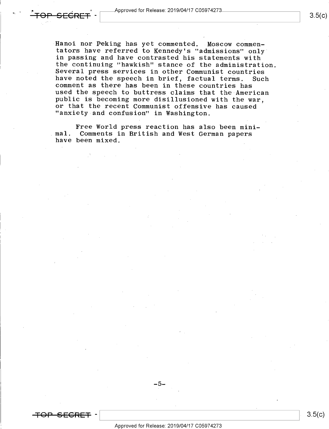Hanoi nor Peking has yet commented. Moscow commen-<br>tators have referred to Kennedy's "admissions" only<br>in passing and have contrasted his statements with the continuing "hawkish" stance of the administration.<br>Several press services in other Communist countries have noted the speech in brief, factual terms. Such<br>comment as there has been in these countries has<br>used the speech to buttress claims that the American<br>public is becoming more disillusioned with the war,<br>or that the rece

Free World press reaction has also been mini- ,mal. Comments in British and West German papers have been mixed.

<del>TOP SECRET</del> -

#### Approved for Release: 2019/O4/17 CO5974273

\_5\_

 $\frac{1}{2}$   $\frac{3.5(k)}{k}$